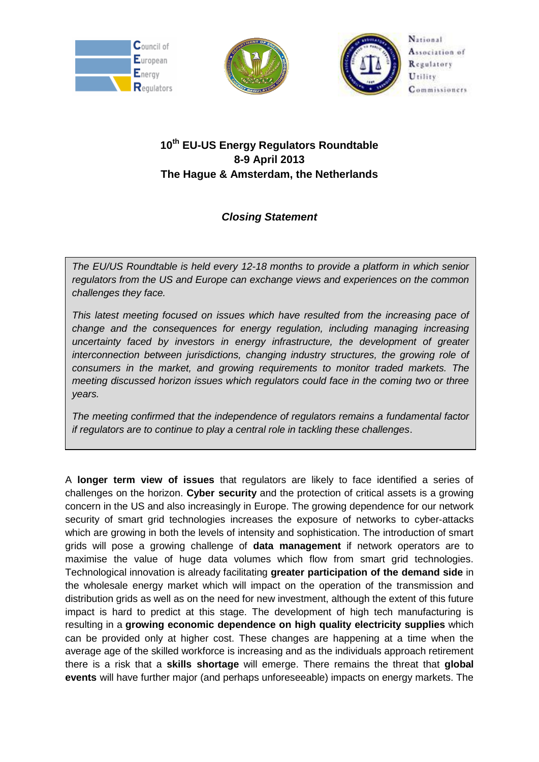





National Association of Regulatory Utility Commissioners

## **10th EU-US Energy Regulators Roundtable 8-9 April 2013 The Hague & Amsterdam, the Netherlands**

## *Closing Statement*

*The EU/US Roundtable is held every 12-18 months to provide a platform in which senior regulators from the US and Europe can exchange views and experiences on the common challenges they face.*

*This latest meeting focused on issues which have resulted from the increasing pace of change and the consequences for energy regulation, including managing increasing uncertainty faced by investors in energy infrastructure, the development of greater interconnection between jurisdictions, changing industry structures, the growing role of consumers in the market, and growing requirements to monitor traded markets. The meeting discussed horizon issues which regulators could face in the coming two or three years.*

*The meeting confirmed that the independence of regulators remains a fundamental factor if regulators are to continue to play a central role in tackling these challenges*.

A **longer term view of issues** that regulators are likely to face identified a series of challenges on the horizon. **Cyber security** and the protection of critical assets is a growing concern in the US and also increasingly in Europe. The growing dependence for our network security of smart grid technologies increases the exposure of networks to cyber-attacks which are growing in both the levels of intensity and sophistication. The introduction of smart grids will pose a growing challenge of **data management** if network operators are to maximise the value of huge data volumes which flow from smart grid technologies. Technological innovation is already facilitating **greater participation of the demand side** in the wholesale energy market which will impact on the operation of the transmission and distribution grids as well as on the need for new investment, although the extent of this future impact is hard to predict at this stage. The development of high tech manufacturing is resulting in a **growing economic dependence on high quality electricity supplies** which can be provided only at higher cost. These changes are happening at a time when the average age of the skilled workforce is increasing and as the individuals approach retirement there is a risk that a **skills shortage** will emerge. There remains the threat that **global events** will have further major (and perhaps unforeseeable) impacts on energy markets. The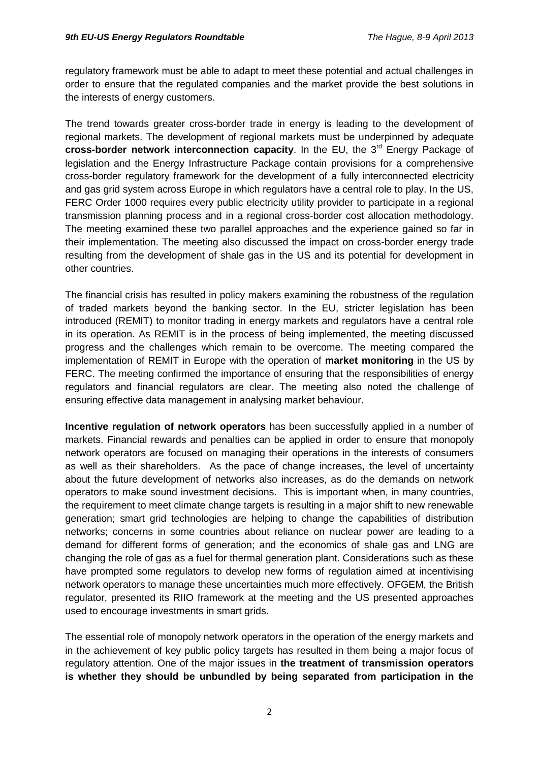regulatory framework must be able to adapt to meet these potential and actual challenges in order to ensure that the regulated companies and the market provide the best solutions in the interests of energy customers.

The trend towards greater cross-border trade in energy is leading to the development of regional markets. The development of regional markets must be underpinned by adequate **cross-border network interconnection capacity.** In the EU, the 3<sup>rd</sup> Energy Package of legislation and the Energy Infrastructure Package contain provisions for a comprehensive cross-border regulatory framework for the development of a fully interconnected electricity and gas grid system across Europe in which regulators have a central role to play. In the US, FERC Order 1000 requires every public electricity utility provider to participate in a regional transmission planning process and in a regional cross-border cost allocation methodology. The meeting examined these two parallel approaches and the experience gained so far in their implementation. The meeting also discussed the impact on cross-border energy trade resulting from the development of shale gas in the US and its potential for development in other countries.

The financial crisis has resulted in policy makers examining the robustness of the regulation of traded markets beyond the banking sector. In the EU, stricter legislation has been introduced (REMIT) to monitor trading in energy markets and regulators have a central role in its operation. As REMIT is in the process of being implemented, the meeting discussed progress and the challenges which remain to be overcome. The meeting compared the implementation of REMIT in Europe with the operation of **market monitoring** in the US by FERC. The meeting confirmed the importance of ensuring that the responsibilities of energy regulators and financial regulators are clear. The meeting also noted the challenge of ensuring effective data management in analysing market behaviour.

**Incentive regulation of network operators** has been successfully applied in a number of markets. Financial rewards and penalties can be applied in order to ensure that monopoly network operators are focused on managing their operations in the interests of consumers as well as their shareholders. As the pace of change increases, the level of uncertainty about the future development of networks also increases, as do the demands on network operators to make sound investment decisions. This is important when, in many countries, the requirement to meet climate change targets is resulting in a major shift to new renewable generation; smart grid technologies are helping to change the capabilities of distribution networks; concerns in some countries about reliance on nuclear power are leading to a demand for different forms of generation; and the economics of shale gas and LNG are changing the role of gas as a fuel for thermal generation plant. Considerations such as these have prompted some regulators to develop new forms of regulation aimed at incentivising network operators to manage these uncertainties much more effectively. OFGEM, the British regulator, presented its RIIO framework at the meeting and the US presented approaches used to encourage investments in smart grids.

The essential role of monopoly network operators in the operation of the energy markets and in the achievement of key public policy targets has resulted in them being a major focus of regulatory attention. One of the major issues in **the treatment of transmission operators is whether they should be unbundled by being separated from participation in the**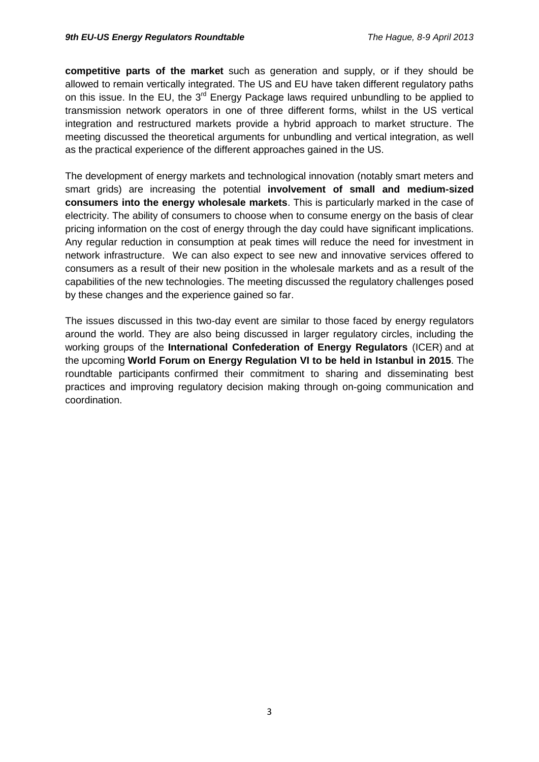**competitive parts of the market** such as generation and supply, or if they should be allowed to remain vertically integrated. The US and EU have taken different regulatory paths on this issue. In the EU, the 3<sup>rd</sup> Energy Package laws required unbundling to be applied to transmission network operators in one of three different forms, whilst in the US vertical integration and restructured markets provide a hybrid approach to market structure. The meeting discussed the theoretical arguments for unbundling and vertical integration, as well as the practical experience of the different approaches gained in the US.

The development of energy markets and technological innovation (notably smart meters and smart grids) are increasing the potential **involvement of small and medium-sized consumers into the energy wholesale markets**. This is particularly marked in the case of electricity. The ability of consumers to choose when to consume energy on the basis of clear pricing information on the cost of energy through the day could have significant implications. Any regular reduction in consumption at peak times will reduce the need for investment in network infrastructure. We can also expect to see new and innovative services offered to consumers as a result of their new position in the wholesale markets and as a result of the capabilities of the new technologies. The meeting discussed the regulatory challenges posed by these changes and the experience gained so far.

The issues discussed in this two-day event are similar to those faced by energy regulators around the world. They are also being discussed in larger regulatory circles, including the working groups of the **International Confederation of Energy Regulators** (ICER) and at the upcoming **World Forum on Energy Regulation VI to be held in Istanbul in 2015**. The roundtable participants confirmed their commitment to sharing and disseminating best practices and improving regulatory decision making through on-going communication and coordination.